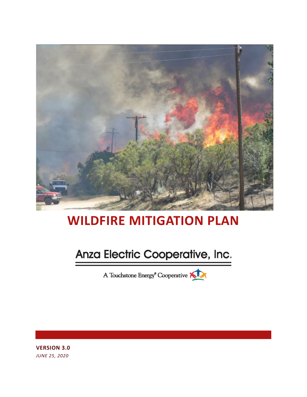

# **WILDFIRE MITIGATION PLAN**

# Anza Electric Cooperative, Inc.

A Touchstone Energy<sup>®</sup> Cooperative

**VERSION 3.0** *JUNE 25, 2020*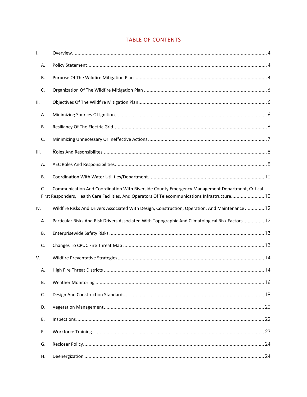## TABLE OF CONTENTS

| Ι.   |           |                                                                                                                                                                                                   |
|------|-----------|---------------------------------------------------------------------------------------------------------------------------------------------------------------------------------------------------|
|      | Α.        |                                                                                                                                                                                                   |
|      | В.        |                                                                                                                                                                                                   |
|      | C.        |                                                                                                                                                                                                   |
| li.  |           |                                                                                                                                                                                                   |
|      | А.        |                                                                                                                                                                                                   |
|      | В.        |                                                                                                                                                                                                   |
|      | C.        |                                                                                                                                                                                                   |
| lii. |           |                                                                                                                                                                                                   |
|      | А.        |                                                                                                                                                                                                   |
|      | В.        |                                                                                                                                                                                                   |
|      | C.        | Communication And Coordination With Riverside County Emergency Management Department, Critical<br>First Responders, Health Care Facilities, And Operators Of Telecommunications Infrastructure 10 |
| Iv.  |           | Wildfire Risks And Drivers Associated With Design, Construction, Operation, And Maintenance 12                                                                                                    |
|      | Α.        | Particular Risks And Risk Drivers Associated With Topographic And Climatological Risk Factors  12                                                                                                 |
|      | В.        |                                                                                                                                                                                                   |
|      | C.        |                                                                                                                                                                                                   |
| V.   |           |                                                                                                                                                                                                   |
|      | Α.        |                                                                                                                                                                                                   |
|      | <b>B.</b> |                                                                                                                                                                                                   |
|      | C.        |                                                                                                                                                                                                   |
|      | D.        |                                                                                                                                                                                                   |
|      | Ε.        |                                                                                                                                                                                                   |
|      | F.        |                                                                                                                                                                                                   |
|      | G.        |                                                                                                                                                                                                   |
|      | Η.        |                                                                                                                                                                                                   |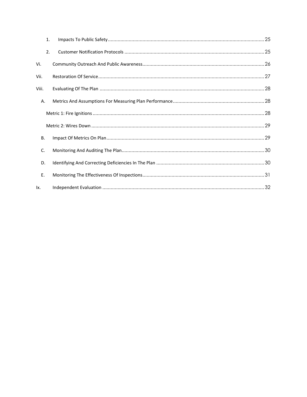|       | 1. |  |  |  |  |  |
|-------|----|--|--|--|--|--|
|       | 2. |  |  |  |  |  |
| Vi.   |    |  |  |  |  |  |
| Vii.  |    |  |  |  |  |  |
| Viii. |    |  |  |  |  |  |
|       | Α. |  |  |  |  |  |
|       |    |  |  |  |  |  |
|       |    |  |  |  |  |  |
| В.    |    |  |  |  |  |  |
| C.    |    |  |  |  |  |  |
| D.    |    |  |  |  |  |  |
| E.    |    |  |  |  |  |  |
| lx.   |    |  |  |  |  |  |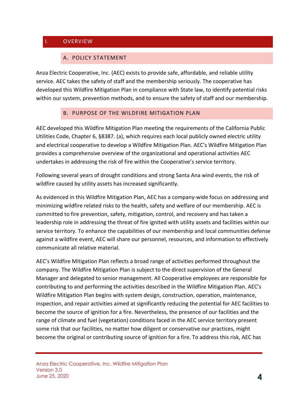## <span id="page-3-1"></span><span id="page-3-0"></span>I. OVERVIEW

## A. POLICY STATEMENT

Anza Electric Cooperative, Inc. (AEC) exists to provide safe, affordable, and reliable utility service. AEC takes the safety of staff and the membership seriously. The cooperative has developed this Wildfire Mitigation Plan in compliance with State law, to identify potential risks within our system, prevention methods, and to ensure the safety of staff and our membership.

### B. PURPOSE OF THE WILDFIRE MITIGATION PLAN

<span id="page-3-2"></span>AEC developed this Wildfire Mitigation Plan meeting the requirements of the California Public Utilities Code, Chapter 6, §8387. (a), which requires each local publicly owned electric utility and electrical cooperative to develop a Wildfire Mitigation Plan. AEC's Wildfire Mitigation Plan provides a comprehensive overview of the organizational and operational activities AEC undertakes in addressing the risk of fire within the Cooperative's service territory.

Following several years of drought conditions and strong Santa Ana wind events, the risk of wildfire caused by utility assets has increased significantly.

As evidenced in this Wildfire Mitigation Plan, AEC has a company-wide focus on addressing and minimizing wildfire related risks to the health, safety and welfare of our membership. AEC is committed to fire prevention, safety, mitigation, control, and recovery and has taken a leadership role in addressing the threat of fire ignited with utility assets and facilities within our service territory. To enhance the capabilities of our membership and local communities defense against a wildfire event, AEC will share our personnel, resources, and information to effectively communicate all relative material.

AEC's Wildfire Mitigation Plan reflects a broad range of activities performed throughout the company. The Wildfire Mitigation Plan is subject to the direct supervision of the General Manager and delegated to senior management. All Cooperative employees are responsible for contributing to and performing the activities described in the Wildfire Mitigation Plan. AEC's Wildfire Mitigation Plan begins with system design, construction, operation, maintenance, inspection, and repair activities aimed at significantly reducing the potential for AEC facilities to become the source of ignition for a fire. Nevertheless, the presence of our facilities and the range of climate and fuel (vegetation) conditions faced in the AEC service territory present some risk that our facilities, no matter how diligent or conservative our practices, might become the original or contributing source of ignition for a fire. To address this risk, AEC has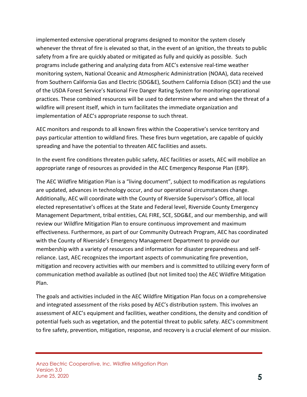implemented extensive operational programs designed to monitor the system closely whenever the threat of fire is elevated so that, in the event of an ignition, the threats to public safety from a fire are quickly abated or mitigated as fully and quickly as possible. Such programs include gathering and analyzing data from AEC's extensive real-time weather monitoring system, National Oceanic and Atmospheric Administration (NOAA), data received from Southern California Gas and Electric (SDG&E), Southern California Edison (SCE) and the use of the USDA Forest Service's National Fire Danger Rating System for monitoring operational practices. These combined resources will be used to determine where and when the threat of a wildfire will present itself, which in turn facilitates the immediate organization and implementation of AEC's appropriate response to such threat.

AEC monitors and responds to all known fires within the Cooperative's service territory and pays particular attention to wildland fires. These fires burn vegetation, are capable of quickly spreading and have the potential to threaten AEC facilities and assets.

In the event fire conditions threaten public safety, AEC facilities or assets, AEC will mobilize an appropriate range of resources as provided in the AEC Emergency Response Plan (ERP).

The AEC Wildfire Mitigation Plan is a "living document", subject to modification as regulations are updated, advances in technology occur, and our operational circumstances change. Additionally, AEC will coordinate with the County of Riverside Supervisor's Office, all local elected representative's offices at the State and Federal level, Riverside County Emergency Management Department, tribal entities, CAL FIRE, SCE, SDG&E, and our membership, and will review our Wildfire Mitigation Plan to ensure continuous improvement and maximum effectiveness. Furthermore, as part of our Community Outreach Program, AEC has coordinated with the County of Riverside's Emergency Management Department to provide our membership with a variety of resources and information for disaster preparedness and selfreliance. Last, AEC recognizes the important aspects of communicating fire prevention, mitigation and recovery activities with our members and is committed to utilizing every form of communication method available as outlined (but not limited too) the AEC Wildfire Mitigation Plan.

The goals and activities included in the AEC Wildfire Mitigation Plan focus on a comprehensive and integrated assessment of the risks posed by AEC's distribution system. This involves an assessment of AEC's equipment and facilities, weather conditions, the density and condition of potential fuels such as vegetation, and the potential threat to public safety. AEC's commitment to fire safety, prevention, mitigation, response, and recovery is a crucial element of our mission.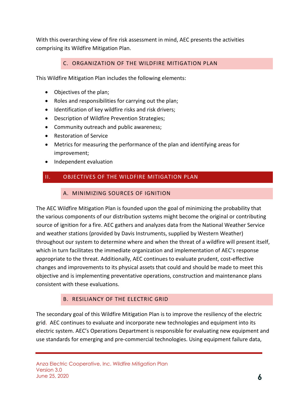With this overarching view of fire risk assessment in mind, AEC presents the activities comprising its Wildfire Mitigation Plan.

## C. ORGANIZATION OF THE WILDFIRE MITIGATION PLAN

<span id="page-5-0"></span>This Wildfire Mitigation Plan includes the following elements:

- Objectives of the plan;
- Roles and responsibilities for carrying out the plan;
- Identification of key wildfire risks and risk drivers;
- Description of Wildfire Prevention Strategies;
- Community outreach and public awareness;
- Restoration of Service
- Metrics for measuring the performance of the plan and identifying areas for improvement;
- Independent evaluation

## <span id="page-5-2"></span><span id="page-5-1"></span>II. OBJECTIVES OF THE WILDFIRE MITIGATION PLAN

#### A. MINIMIZING SOURCES OF IGNITION

The AEC Wildfire Mitigation Plan is founded upon the goal of minimizing the probability that the various components of our distribution systems might become the original or contributing source of ignition for a fire. AEC gathers and analyzes data from the National Weather Service and weather stations (provided by Davis Instruments, supplied by Western Weather) throughout our system to determine where and when the threat of a wildfire will present itself, which in turn facilitates the immediate organization and implementation of AEC's response appropriate to the threat. Additionally, AEC continues to evaluate prudent, cost-effective changes and improvements to its physical assets that could and should be made to meet this objective and is implementing preventative operations, construction and maintenance plans consistent with these evaluations.

### B. RESILIANCY OF THE ELECTRIC GRID

<span id="page-5-3"></span>The secondary goal of this Wildfire Mitigation Plan is to improve the resiliency of the electric grid. AEC continues to evaluate and incorporate new technologies and equipment into its electric system. AEC's Operations Department is responsible for evaluating new equipment and use standards for emerging and pre-commercial technologies. Using equipment failure data,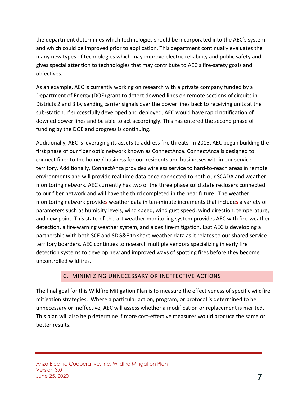the department determines which technologies should be incorporated into the AEC's system and which could be improved prior to application. This department continually evaluates the many new types of technologies which may improve electric reliability and public safety and gives special attention to technologies that may contribute to AEC's fire-safety goals and objectives.

As an example, AEC is currently working on research with a private company funded by a Department of Energy (DOE) grant to detect downed lines on remote sections of circuits in Districts 2 and 3 by sending carrier signals over the power lines back to receiving units at the sub-station. If successfully developed and deployed, AEC would have rapid notification of downed power lines and be able to act accordingly. This has entered the second phase of funding by the DOE and progress is continuing.

Additionally, AEC is leveraging its assets to address fire threats. In 2015, AEC began building the first phase of our fiber optic network known as ConnectAnza. ConnectAnza is designed to connect fiber to the home / business for our residents and businesses within our service territory. Additionally, ConnectAnza provides wireless service to hard-to-reach areas in remote environments and will provide real time data once connected to both our SCADA and weather monitoring network. AEC currently has two of the three phase solid state reclosers connected to our fiber network and will have the third completed in the near future. The weather monitoring network provides weather data in ten-minute increments that includes a variety of parameters such as humidity levels, wind speed, wind gust speed, wind direction, temperature, and dew point. This state-of-the-art weather monitoring system provides AEC with fire-weather detection, a fire-warning weather system, and aides fire-mitigation. Last AEC is developing a partnership with both SCE and SDG&E to share weather data as it relates to our shared service territory boarders. AEC continues to research multiple vendors specializing in early fire detection systems to develop new and improved ways of spotting fires before they become uncontrolled wildfires.

### C. MINIMIZING UNNECESSARY OR INEFFECTIVE ACTIONS

<span id="page-6-0"></span>The final goal for this Wildfire Mitigation Plan is to measure the effectiveness of specific wildfire mitigation strategies. Where a particular action, program, or protocol is determined to be unnecessary or ineffective, AEC will assess whether a modification or replacement is merited. This plan will also help determine if more cost-effective measures would produce the same or better results.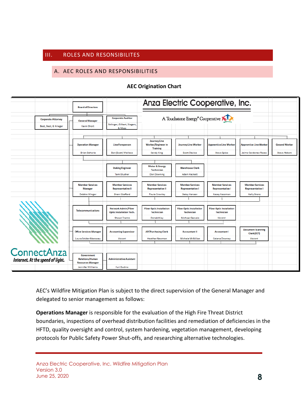#### <span id="page-7-1"></span><span id="page-7-0"></span>III. ROLES AND RESONSIBILITES

## A. AEC ROLES AND RESPONSIBILITIES

#### **AEC Origination Chart**

|                                                 | <b>Board of Directors</b>                                               |                                                               |                                                              |                                                      | Anza Electric Cooperative, Inc.                      |                                                   |                      |
|-------------------------------------------------|-------------------------------------------------------------------------|---------------------------------------------------------------|--------------------------------------------------------------|------------------------------------------------------|------------------------------------------------------|---------------------------------------------------|----------------------|
|                                                 |                                                                         |                                                               |                                                              |                                                      |                                                      |                                                   |                      |
| <b>Corporate Attorney</b>                       | <b>General Manager</b>                                                  | <b>Corporate Auditor</b>                                      |                                                              | A Touchstone Energy <sup>®</sup> Cooperative         |                                                      |                                                   |                      |
| Best, Best, & Krieger                           | <b>Kevin Short</b>                                                      | Bolinger, Gilbert, Siegers,<br>& Moss                         |                                                              |                                                      |                                                      |                                                   |                      |
|                                                 |                                                                         |                                                               |                                                              |                                                      |                                                      |                                                   |                      |
|                                                 | <b>Operation Manager</b>                                                | <b>Line Foreperson</b>                                        | <b>Journey Line</b><br>Worker/Engineer in<br><b>Training</b> | <b>Journey Line Worker</b>                           | <b>Apprentice Line Worker</b>                        | <b>Apprentice Line Worker</b>                     | <b>Ground Worker</b> |
|                                                 | <b>Brian Baharie</b>                                                    | Ben (Scott) Wallace                                           | <b>Sandy King</b>                                            | <b>Scott Davies</b>                                  | <b>Steve Spies</b>                                   | Jaime Cardenas-Rosas                              | <b>Steve Abbott</b>  |
|                                                 |                                                                         |                                                               |                                                              |                                                      |                                                      |                                                   |                      |
|                                                 |                                                                         |                                                               |                                                              |                                                      |                                                      |                                                   |                      |
|                                                 |                                                                         | <b>Staking Engineer</b>                                       | <b>Meter &amp; Energy</b><br><b>Technician</b>               | <b>Warehouse Clerk</b>                               |                                                      |                                                   |                      |
|                                                 |                                                                         | <b>Tami Slusher</b>                                           | <b>Don Downing</b>                                           | <b>Adam Hackett</b>                                  |                                                      |                                                   |                      |
|                                                 |                                                                         |                                                               |                                                              |                                                      |                                                      |                                                   |                      |
|                                                 | <b>Member Services</b><br><b>Manager</b>                                | <b>Member Services</b><br><b>Representative II</b>            | <b>Member Services</b><br><b>Representative II</b>           | <b>Member Services</b><br><b>Representative I</b>    | <b>Member Services</b><br><b>Representative I</b>    | <b>Member Services</b><br><b>Representative I</b> |                      |
|                                                 | <b>Debbie Winger</b>                                                    | <b>Sherri Stafford</b>                                        | Paula Crawley                                                | <b>Betsy Hansen</b>                                  | Kasey Kessman                                        | <b>Kelly Brenz</b>                                |                      |
|                                                 |                                                                         |                                                               |                                                              |                                                      |                                                      |                                                   |                      |
|                                                 |                                                                         |                                                               |                                                              |                                                      |                                                      |                                                   |                      |
|                                                 | <b>Telecommunications</b>                                               | <b>Network Admin/Fiber</b><br><b>Optic Installation Tech.</b> | <b>Fiber Optic Installation</b><br><b>Technician</b>         | <b>Fiber Optic Installation</b><br><b>Technician</b> | <b>Fiber Optic Installation</b><br><b>Technician</b> |                                                   |                      |
|                                                 |                                                                         | <b>Shawn Trento</b>                                           | Donald Kay                                                   | <b>Michael Gervais</b>                               | Vacant                                               |                                                   |                      |
|                                                 |                                                                         |                                                               |                                                              |                                                      |                                                      |                                                   |                      |
|                                                 | <b>Office Services Manager</b>                                          | <b>Accounting Supervisor</b>                                  | <b>AP/Purchasing Clerk</b>                                   | <b>Accountant II</b>                                 | <b>Accountant I</b>                                  | <b>Document Scanning</b><br>Clerk (P/T)           |                      |
|                                                 | Laura Snider-Manseau                                                    | Vacant                                                        | <b>Heather Newman</b>                                        | <b>Michele McMillan</b>                              | Celena Downey                                        | Vacant                                            |                      |
|                                                 |                                                                         |                                                               |                                                              |                                                      |                                                      |                                                   |                      |
|                                                 |                                                                         |                                                               |                                                              |                                                      |                                                      |                                                   |                      |
| ConnectAnza<br>Internet. At the speed of light. | <b>Government</b><br><b>Relations/Human</b><br><b>Resources Manager</b> | <b>Administrative Assistant</b>                               |                                                              |                                                      |                                                      |                                                   |                      |
|                                                 | Jennifer Williams                                                       | <b>Yuri Gudino</b>                                            |                                                              |                                                      |                                                      |                                                   |                      |

AEC's Wildfire Mitigation Plan is subject to the direct supervision of the General Manager and delegated to senior management as follows:

**Operations Manager** is responsible for the evaluation of the High Fire Threat District boundaries, inspections of overhead distribution facilities and remediation of deficiencies in the HFTD, quality oversight and control, system hardening, vegetation management, developing protocols for Public Safety Power Shut-offs, and researching alternative technologies.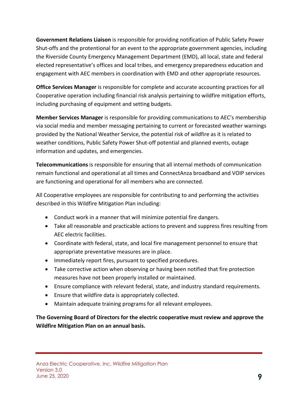**Government Relations Liaison** is responsible for providing notification of Public Safety Power Shut-offs and the protentional for an event to the appropriate government agencies, including the Riverside County Emergency Management Department (EMD), all local, state and federal elected representative's offices and local tribes, and emergency preparedness education and engagement with AEC members in coordination with EMD and other appropriate resources.

**Office Services Manager** is responsible for complete and accurate accounting practices for all Cooperative operation including financial risk analysis pertaining to wildfire mitigation efforts, including purchasing of equipment and setting budgets.

**Member Services Manager** is responsible for providing communications to AEC's membership via social media and member messaging pertaining to current or forecasted weather warnings provided by the National Weather Service, the potential risk of wildfire as it is related to weather conditions, Public Safety Power Shut-off potential and planned events, outage information and updates, and emergencies.

**Telecommunications** is responsible for ensuring that all internal methods of communication remain functional and operational at all times and ConnectAnza broadband and VOIP services are functioning and operational for all members who are connected.

All Cooperative employees are responsible for contributing to and performing the activities described in this Wildfire Mitigation Plan including:

- Conduct work in a manner that will minimize potential fire dangers.
- Take all reasonable and practicable actions to prevent and suppress fires resulting from AEC electric facilities.
- Coordinate with federal, state, and local fire management personnel to ensure that appropriate preventative measures are in place.
- Immediately report fires, pursuant to specified procedures.
- Take corrective action when observing or having been notified that fire protection measures have not been properly installed or maintained.
- Ensure compliance with relevant federal, state, and industry standard requirements.
- Ensure that wildfire data is appropriately collected.
- Maintain adequate training programs for all relevant employees.

**The Governing Board of Directors for the electric cooperative must review and approve the Wildfire Mitigation Plan on an annual basis.**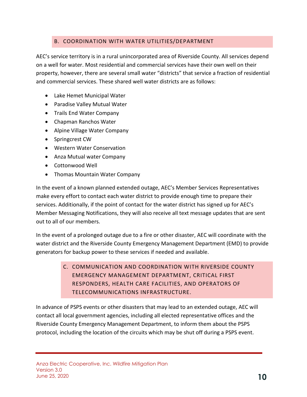## B. COORDINATION WITH WATER UTILITIES/DEPARTMENT

<span id="page-9-0"></span>AEC's service territory is in a rural unincorporated area of Riverside County. All services depend on a well for water. Most residential and commercial services have their own well on their property, however, there are several small water "districts" that service a fraction of residential and commercial services. These shared well water districts are as follows:

- Lake Hemet Municipal Water
- Paradise Valley Mutual Water
- Trails End Water Company
- Chapman Ranchos Water
- Alpine Village Water Company
- Springcrest CW
- Western Water Conservation
- Anza Mutual water Company
- Cottonwood Well
- Thomas Mountain Water Company

In the event of a known planned extended outage, AEC's Member Services Representatives make every effort to contact each water district to provide enough time to prepare their services. Additionally, if the point of contact for the water district has signed up for AEC's Member Messaging Notifications, they will also receive all text message updates that are sent out to all of our members.

In the event of a prolonged outage due to a fire or other disaster, AEC will coordinate with the water district and the Riverside County Emergency Management Department (EMD) to provide generators for backup power to these services if needed and available.

> <span id="page-9-1"></span>C. COMMUNICATION AND COORDINATION WITH RIVERSIDE COUNTY EMERGENCY MANAGEMENT DEPARTMENT, CRITICAL FIRST RESPONDERS, HEALTH CARE FACILITIES, AND OPERATORS OF TELECOMMUNICATIONS INFRASTRUCTURE.

In advance of PSPS events or other disasters that may lead to an extended outage, AEC will contact all local government agencies, including all elected representative offices and the Riverside County Emergency Management Department, to inform them about the PSPS protocol, including the location of the circuits which may be shut off during a PSPS event.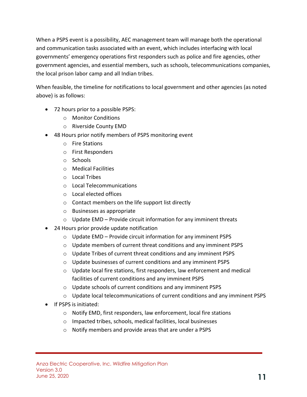When a PSPS event is a possibility, AEC management team will manage both the operational and communication tasks associated with an event, which includes interfacing with local governments' emergency operations first responders such as police and fire agencies, other government agencies, and essential members, such as schools, telecommunications companies, the local prison labor camp and all Indian tribes.

When feasible, the timeline for notifications to local government and other agencies (as noted above) is as follows:

- 72 hours prior to a possible PSPS:
	- o Monitor Conditions
	- o Riverside County EMD
- 48 Hours prior notify members of PSPS monitoring event
	- o Fire Stations
	- o First Responders
	- o Schools
	- o Medical Facilities
	- o Local Tribes
	- o Local Telecommunications
	- o Local elected offices
	- o Contact members on the life support list directly
	- o Businesses as appropriate
	- $\circ$  Update EMD Provide circuit information for any imminent threats
- 24 Hours prior provide update notification
	- o Update EMD Provide circuit information for any imminent PSPS
	- o Update members of current threat conditions and any imminent PSPS
	- o Update Tribes of current threat conditions and any imminent PSPS
	- o Update businesses of current conditions and any imminent PSPS
	- o Update local fire stations, first responders, law enforcement and medical facilities of current conditions and any imminent PSPS
	- o Update schools of current conditions and any imminent PSPS
	- o Update local telecommunications of current conditions and any imminent PSPS
- If PSPS is initiated:
	- o Notify EMD, first responders, law enforcement, local fire stations
	- o Impacted tribes, schools, medical facilities, local businesses
	- o Notify members and provide areas that are under a PSPS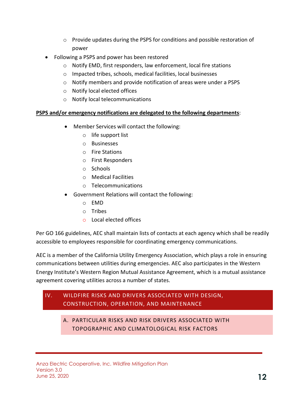- $\circ$  Provide updates during the PSPS for conditions and possible restoration of power
- Following a PSPS and power has been restored
	- o Notify EMD, first responders, law enforcement, local fire stations
	- o Impacted tribes, schools, medical facilities, local businesses
	- o Notify members and provide notification of areas were under a PSPS
	- o Notify local elected offices
	- o Notify local telecommunications

#### **PSPS and/or emergency notifications are delegated to the following departments**:

- Member Services will contact the following:
	- o life support list
	- o Businesses
	- o Fire Stations
	- o First Responders
	- o Schools
	- o Medical Facilities
	- o Telecommunications
- Government Relations will contact the following:
	- o EMD
	- o Tribes
	- o Local elected offices

Per GO 166 guidelines, AEC shall maintain lists of contacts at each agency which shall be readily accessible to employees responsible for coordinating emergency communications.

AEC is a member of the California Utility Emergency Association, which plays a role in ensuring communications between utilities during emergencies. AEC also participates in the Western Energy Institute's Western Region Mutual Assistance Agreement, which is a mutual assistance agreement covering utilities across a number of states.

## <span id="page-11-1"></span><span id="page-11-0"></span>IV. WILDFIRE RISKS AND DRIVERS ASSOCIATED WITH DESIGN, CONSTRUCTION, OPERATION, AND MAINTENANCE

A. PARTICULAR RISKS AND RISK DRIVERS ASSOCIATED WITH TOPOGRAPHIC AND CLIMATOLOGICAL RISK FACTORS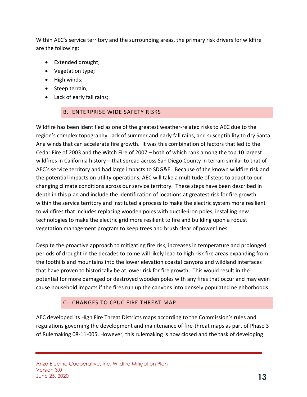Within AEC's service territory and the surrounding areas, the primary risk drivers for wildfire are the following:

- Extended drought;
- Vegetation type;
- High winds;
- Steep terrain;
- <span id="page-12-0"></span>• Lack of early fall rains;

### B. ENTERPRISE WIDE SAFETY RISKS

Wildfire has been identified as one of the greatest weather-related risks to AEC due to the region's complex topography, lack of summer and early fall rains, and susceptibility to dry Santa Ana winds that can accelerate fire growth. It was this combination of factors that led to the Cedar Fire of 2003 and the Witch Fire of 2007 – both of which rank among the top 10 largest wildfires in California history – that spread across San Diego County in terrain similar to that of AEC's service territory and had large impacts to SDG&E. Because of the known wildfire risk and the potential impacts on utility operations, AEC will take a multitude of steps to adapt to our changing climate conditions across our service territory. These steps have been described in depth in this plan and include the identification of locations at greatest risk for fire growth within the service territory and instituted a process to make the electric system more resilient to wildfires that includes replacing wooden poles with ductile-iron poles, installing new technologies to make the electric grid more resilient to fire and building upon a robust vegetation management program to keep trees and brush clear of power lines.

Despite the proactive approach to mitigating fire risk, increases in temperature and prolonged periods of drought in the decades to come will likely lead to high risk fire areas expanding from the foothills and mountains into the lower elevation coastal canyons and wildland interfaces that have proven to historically be at lower risk for fire growth. This would result in the potential for more damaged or destroyed wooden poles with any fires that occur and may even cause household impacts if the fires run up the canyons into densely populated neighborhoods.

### C. CHANGES TO CPUC FIRE THREAT MAP

<span id="page-12-1"></span>AEC developed its High Fire Threat Districts maps according to the Commission's rules and regulations governing the development and maintenance of fire-threat maps as part of Phase 3 of Rulemaking 08-11-005. However, this rulemaking is now closed and the task of developing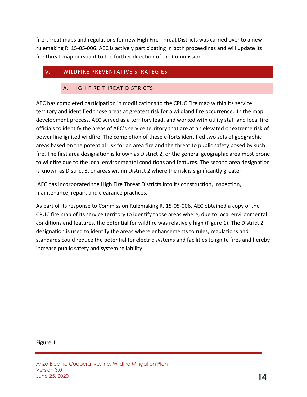fire-threat maps and regulations for new High Fire-Threat Districts was carried over to a new rulemaking R. 15-05-006. AEC is actively participating in both proceedings and will update its fire threat map pursuant to the further direction of the Commission.

## <span id="page-13-1"></span><span id="page-13-0"></span>V. WILDFIRE PREVENTATIVE STRATEGIES

#### A. HIGH FIRE THREAT DISTRICTS

AEC has completed participation in modifications to the CPUC Fire map within its service territory and identified those areas at greatest risk for a wildland fire occurrence. In the map development process, AEC served as a territory lead, and worked with utility staff and local fire officials to identify the areas of AEC's service territory that are at an elevated or extreme risk of power line ignited wildfire. The completion of these efforts identified two sets of geographic areas based on the potential risk for an area fire and the threat to public safety posed by such fire. The first area designation is known as District 2, or the general geographic area most prone to wildfire due to the local environmental conditions and features. The second area designation is known as District 3, or areas within District 2 where the risk is significantly greater.

AEC has incorporated the High Fire Threat Districts into its construction, inspection, maintenance, repair, and clearance practices.

As part of its response to Commission Rulemaking R. 15-05-006, AEC obtained a copy of the CPUC fire map of its service territory to identify those areas where, due to local environmental conditions and features, the potential for wildfire was relatively high (Figure 1). The District 2 designation is used to identify the areas where enhancements to rules, regulations and standards could reduce the potential for electric systems and facilities to ignite fires and hereby increase public safety and system reliability.

#### Figure 1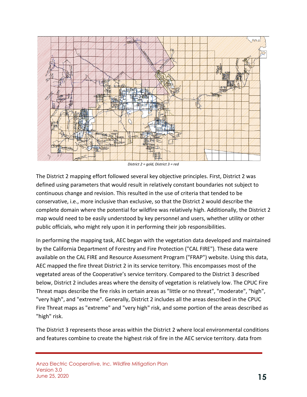

*District 2 = gold, District 3 = red*

The District 2 mapping effort followed several key objective principles. First, District 2 was defined using parameters that would result in relatively constant boundaries not subject to continuous change and revision. This resulted in the use of criteria that tended to be conservative, i.e., more inclusive than exclusive, so that the District 2 would describe the complete domain where the potential for wildfire was relatively high. Additionally, the District 2 map would need to be easily understood by key personnel and users, whether utility or other public officials, who might rely upon it in performing their job responsibilities.

In performing the mapping task, AEC began with the vegetation data developed and maintained by the California Department of Forestry and Fire Protection ("CAL FIRE"). These data were available on the CAL FIRE and Resource Assessment Program ("FRAP") website. Using this data, AEC mapped the fire threat District 2 in its service territory. This encompasses most of the vegetated areas of the Cooperative's service territory. Compared to the District 3 described below, District 2 includes areas where the density of vegetation is relatively low. The CPUC Fire Threat maps describe the fire risks in certain areas as "little or no threat", "moderate", "high", "very high", and "extreme". Generally, District 2 includes all the areas described in the CPUC Fire Threat maps as "extreme" and "very high" risk, and some portion of the areas described as "high" risk.

The District 3 represents those areas within the District 2 where local environmental conditions and features combine to create the highest risk of fire in the AEC service territory. data from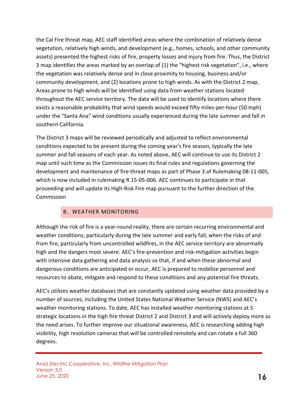the Cal Fire threat map, AEC staff identified areas where the combination of relatively dense vegetation, relatively high winds, and development (e.g., homes, schools, and other community assets) presented the highest risks of fire, property losses and injury from fire. Thus, the District 3 map identifies the areas marked by an overlap of (1) the "highest risk vegetation", i.e., where the vegetation was relatively dense and in close proximity to housing, business and/or community development, and (2) locations prone to high winds. As with the District 2 map, Areas prone to high winds will be identified using data from weather stations located throughout the AEC service territory. The data will be used to identify locations where there exists a reasonable probability that wind speeds would exceed fifty miles-per-hour (50 mph) under the "Santa Ana" wind conditions usually experienced during the late summer and fall in southern California.

The District 3 maps will be reviewed periodically and adjusted to reflect environmental conditions expected to be present during the coming year's fire season, typically the late summer and fall seasons of each year. As noted above, AEC will continue to use its District 2 map until such time as the Commission issues its final rules and regulations governing the development and maintenance of fire-threat maps as part of Phase 3 of Rulemaking 08-11-005, which is now included in rulemaking R.15-05-006. AEC continues to participate in that proceeding and will update its High-Risk Fire map pursuant to the further direction of the **Commission** 

### B. WEATHER MONITORING

<span id="page-15-0"></span>Although the risk of fire is a year-round reality, there are certain recurring environmental and weather conditions, particularly during the late summer and early fall, when the risks of and from fire, particularly from uncontrolled wildfires, in the AEC service territory are abnormally high and the dangers most severe. AEC's fire-prevention and risk-mitigation activities begin with intensive data gathering and data analysis so that, if and when these abnormal and dangerous conditions are anticipated or occur, AEC is prepared to mobilize personnel and resources to abate, mitigate and respond to these conditions and any potential fire threats.

AEC's utilizes weather databases that are constantly updated using weather data provided by a number of sources, including the United States National Weather Service (NWS) and AEC's weather monitoring stations. To date, AEC has installed weather monitoring stations at 5 strategic locations in the high fire threat District 2 and District 3 and will actively deploy more as the need arises. To further improve our situational awareness, AEC is researching adding high visibility, high resolution cameras that will be controlled remotely and can rotate a full 360 degrees.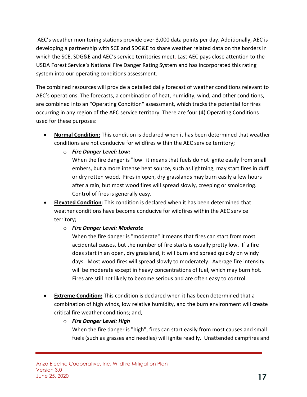AEC's weather monitoring stations provide over 3,000 data points per day. Additionally, AEC is developing a partnership with SCE and SDG&E to share weather related data on the borders in which the SCE, SDG&E and AEC's service territories meet. Last AEC pays close attention to the USDA Forest Service's National Fire Danger Rating System and has incorporated this rating system into our operating conditions assessment.

The combined resources will provide a detailed daily forecast of weather conditions relevant to AEC's operations. The forecasts, a combination of heat, humidity, wind, and other conditions, are combined into an "Operating Condition" assessment, which tracks the potential for fires occurring in any region of the AEC service territory. There are four (4) Operating Conditions used for these purposes:

- **Normal Condition:** This condition is declared when it has been determined that weather conditions are not conducive for wildfires within the AEC service territory;
	- o *Fire Danger Level: Low:*

When the fire danger is "low" it means that fuels do not ignite easily from small embers, but a more intense heat source, such as lightning, may start fires in duff or dry rotten wood. Fires in open, dry grasslands may burn easily a few hours after a rain, but most wood fires will spread slowly, creeping or smoldering. Control of fires is generally easy.

- **Elevated Condition**: This condition is declared when it has been determined that weather conditions have become conducive for wildfires within the AEC service territory;
	- o *Fire Danger Level: Moderate*

When the fire danger is "moderate" it means that fires can start from most accidental causes, but the number of fire starts is usually pretty low. If a fire does start in an open, dry grassland, it will burn and spread quickly on windy days. Most wood fires will spread slowly to moderately. Average fire intensity will be moderate except in heavy concentrations of fuel, which may burn hot. Fires are still not likely to become serious and are often easy to control.

- **Extreme Condition:** This condition is declared when it has been determined that a combination of high winds, low relative humidity, and the burn environment will create critical fire weather conditions; and,
	- o *Fire Danger Level: High* When the fire danger is "high", fires can start easily from most causes and small fuels (such as grasses and needles) will ignite readily. Unattended campfires and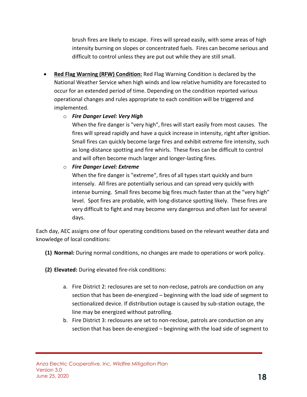brush fires are likely to escape. Fires will spread easily, with some areas of high intensity burning on slopes or concentrated fuels. Fires can become serious and difficult to control unless they are put out while they are still small.

• **Red Flag Warning (RFW) Condition:** Red Flag Warning Condition is declared by the National Weather Service when high winds and low relative humidity are forecasted to occur for an extended period of time. Depending on the condition reported various operational changes and rules appropriate to each condition will be triggered and implemented.

#### o *Fire Danger Level: Very High*

When the fire danger is "very high", fires will start easily from most causes. The fires will spread rapidly and have a quick increase in intensity, right after ignition. Small fires can quickly become large fires and exhibit extreme fire intensity, such as long-distance spotting and fire whirls. These fires can be difficult to control and will often become much larger and longer-lasting fires.

#### o *Fire Danger Level: Extreme*

When the fire danger is "extreme", fires of all types start quickly and burn intensely. All fires are potentially serious and can spread very quickly with intense burning. Small fires become big fires much faster than at the "very high" level. Spot fires are probable, with long-distance spotting likely. These fires are very difficult to fight and may become very dangerous and often last for several days.

Each day, AEC assigns one of four operating conditions based on the relevant weather data and knowledge of local conditions:

- **(1) Normal:** During normal conditions, no changes are made to operations or work policy.
- **(2) Elevated:** During elevated fire-risk conditions:
	- a. Fire District 2: reclosures are set to non-reclose, patrols are conduction on any section that has been de-energized – beginning with the load side of segment to sectionalized device. If distribution outage is caused by sub-station outage, the line may be energized without patrolling.
	- b. Fire District 3: reclosures are set to non-reclose, patrols are conduction on any section that has been de-energized – beginning with the load side of segment to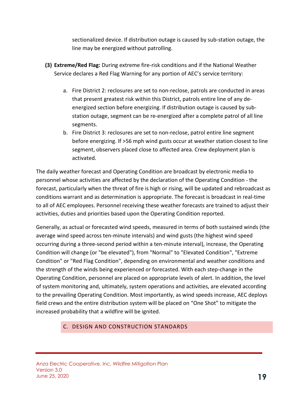sectionalized device. If distribution outage is caused by sub-station outage, the line may be energized without patrolling.

- **(3) Extreme/Red Flag:** During extreme fire-risk conditions and if the National Weather Service declares a Red Flag Warning for any portion of AEC's service territory:
	- a. Fire District 2: reclosures are set to non-reclose, patrols are conducted in areas that present greatest risk within this District, patrols entire line of any deenergized section before energizing. If distribution outage is caused by substation outage, segment can be re-energized after a complete patrol of all line segments.
	- b. Fire District 3: reclosures are set to non-reclose, patrol entire line segment before energizing. If >56 mph wind gusts occur at weather station closest to line segment, observers placed close to affected area. Crew deployment plan is activated.

The daily weather forecast and Operating Condition are broadcast by electronic media to personnel whose activities are affected by the declaration of the Operating Condition - the forecast, particularly when the threat of fire is high or rising, will be updated and rebroadcast as conditions warrant and as determination is appropriate. The forecast is broadcast in real-time to all of AEC employees. Personnel receiving these weather forecasts are trained to adjust their activities, duties and priorities based upon the Operating Condition reported.

Generally, as actual or forecasted wind speeds, measured in terms of both sustained winds (the average wind speed across ten-minute intervals) and wind gusts (the highest wind speed occurring during a three-second period within a ten-minute interval), increase, the Operating Condition will change (or "be elevated"), from "Normal" to "Elevated Condition", "Extreme Condition" or "Red Flag Condition", depending on environmental and weather conditions and the strength of the winds being experienced or forecasted. With each step-change in the Operating Condition, personnel are placed on appropriate levels of alert. In addition, the level of system monitoring and, ultimately, system operations and activities, are elevated according to the prevailing Operating Condition. Most importantly, as wind speeds increase, AEC deploys field crews and the entire distribution system will be placed on "One Shot" to mitigate the increased probability that a wildfire will be ignited.

### <span id="page-18-0"></span>C. DESIGN AND CONSTRUCTION STANDARDS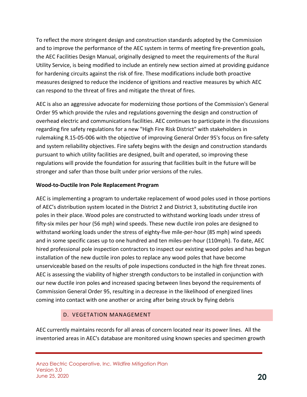To reflect the more stringent design and construction standards adopted by the Commission and to improve the performance of the AEC system in terms of meeting fire-prevention goals, the AEC Facilities Design Manual, originally designed to meet the requirements of the Rural Utility Service, is being modified to include an entirely new section aimed at providing guidance for hardening circuits against the risk of fire. These modifications include both proactive measures designed to reduce the incidence of ignitions and reactive measures by which AEC can respond to the threat of fires and mitigate the threat of fires.

AEC is also an aggressive advocate for modernizing those portions of the Commission's General Order 95 which provide the rules and regulations governing the design and construction of overhead electric and communications facilities. AEC continues to participate in the discussions regarding fire safety regulations for a new "High Fire Risk District" with stakeholders in rulemaking R.15-05-006 with the objective of improving General Order 95's focus on fire-safety and system reliability objectives. Fire safety begins with the design and construction standards pursuant to which utility facilities are designed, built and operated, so improving these regulations will provide the foundation for assuring that facilities built in the future will be stronger and safer than those built under prior versions of the rules.

#### **Wood-to-Ductile Iron Pole Replacement Program**

AEC is implementing a program to undertake replacement of wood poles used in those portions of AEC's distribution system located in the District 2 and District 3, substituting ductile iron poles in their place. Wood poles are constructed to withstand working loads under stress of fifty-six miles per hour (56 mph) wind speeds. These new ductile iron poles are designed to withstand working loads under the stress of eighty-five mile-per-hour (85 mph) wind speeds and in some specific cases up to one hundred and ten miles-per-hour (110mph). To date, AEC hired professional pole inspection contractors to inspect our existing wood poles and has begun installation of the new ductile iron poles to replace any wood poles that have become unserviceable based on the results of pole inspections conducted in the high fire threat zones. AEC is assessing the viability of higher strength conductors to be installed in conjunction with our new ductile iron poles and increased spacing between lines beyond the requirements of Commission General Order 95, resulting in a decrease in the likelihood of energized lines coming into contact with one another or arcing after being struck by flying debris

## D. VEGETATION MANAGEMENT

<span id="page-19-0"></span>AEC currently maintains records for all areas of concern located near its power lines. All the inventoried areas in AEC's database are monitored using known species and specimen growth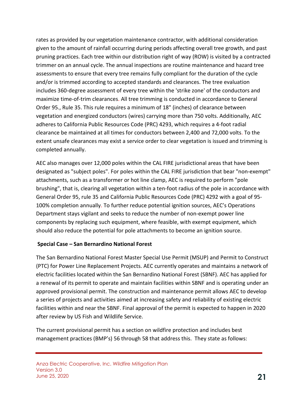rates as provided by our vegetation maintenance contractor, with additional consideration given to the amount of rainfall occurring during periods affecting overall tree growth, and past pruning practices. Each tree within our distribution right of way (ROW) is visited by a contracted trimmer on an annual cycle. The annual inspections are routine maintenance and hazard tree assessments to ensure that every tree remains fully compliant for the duration of the cycle and/or is trimmed according to accepted standards and clearances. The tree evaluation includes 360-degree assessment of every tree within the 'strike zone' of the conductors and maximize time-of-trim clearances. All tree trimming is conducted in accordance to General Order 95., Rule 35. This rule requires a minimum of 18" (inches) of clearance between vegetation and energized conductors (wires) carrying more than 750 volts. Additionally, AEC adheres to California Public Resources Code (PRC) 4293, which requires a 4-foot radial clearance be maintained at all times for conductors between 2,400 and 72,000 volts. To the extent unsafe clearances may exist a service order to clear vegetation is issued and trimming is completed annually.

AEC also manages over 12,000 poles within the CAL FIRE jurisdictional areas that have been designated as "subject poles". For poles within the CAL FIRE jurisdiction that bear "non-exempt" attachments, such as a transformer or hot line clamp, AEC is required to perform "pole brushing", that is, clearing all vegetation within a ten-foot radius of the pole in accordance with General Order 95, rule 35 and California Public Resources Code (PRC) 4292 with a goal of 95- 100% completion annually. To further reduce potential ignition sources, AEC's Operations Department stays vigilant and seeks to reduce the number of non-exempt power line components by replacing such equipment, where feasible, with exempt equipment, which should also reduce the potential for pole attachments to become an ignition source.

### **Special Case – San Bernardino National Forest**

The San Bernardino National Forest Master Special Use Permit (MSUP) and Permit to Construct (PTC) for Power Line Replacement Projects. AEC currently operates and maintains a network of electric facilities located within the San Bernardino National Forest (SBNF). AEC has applied for a renewal of its permit to operate and maintain facilities within SBNF and is operating under an approved provisional permit. The construction and maintenance permit allows AEC to develop a series of projects and activities aimed at increasing safety and reliability of existing electric facilities within and near the SBNF. Final approval of the permit is expected to happen in 2020 after review by US Fish and Wildlife Service.

The current provisional permit has a section on wildfire protection and includes best management practices (BMP's) 56 through 58 that address this. They state as follows: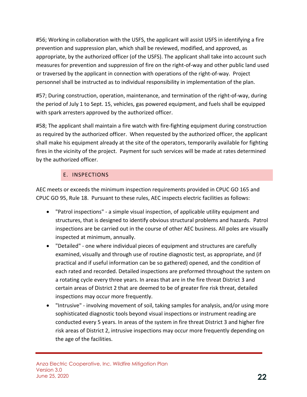#56; Working in collaboration with the USFS, the applicant will assist USFS in identifying a fire prevention and suppression plan, which shall be reviewed, modified, and approved, as appropriate, by the authorized officer (of the USFS). The applicant shall take into account such measures for prevention and suppression of fire on the right-of-way and other public land used or traversed by the applicant in connection with operations of the right-of-way. Project personnel shall be instructed as to individual responsibility in implementation of the plan.

#57; During construction, operation, maintenance, and termination of the right-of-way, during the period of July 1 to Sept. 15, vehicles, gas powered equipment, and fuels shall be equipped with spark arresters approved by the authorized officer.

#58; The applicant shall maintain a fire watch with fire-fighting equipment during construction as required by the authorized officer. When requested by the authorized officer, the applicant shall make his equipment already at the site of the operators, temporarily available for fighting fires in the vicinity of the project. Payment for such services will be made at rates determined by the authorized officer.

## E. INSPECTIONS

<span id="page-21-0"></span>AEC meets or exceeds the minimum inspection requirements provided in CPUC GO 165 and CPUC GO 95, Rule 18. Pursuant to these rules, AEC inspects electric facilities as follows:

- "Patrol inspections" a simple visual inspection, of applicable utility equipment and structures, that is designed to identify obvious structural problems and hazards. Patrol inspections are be carried out in the course of other AEC business. All poles are visually inspected at minimum, annually.
- "Detailed" one where individual pieces of equipment and structures are carefully examined, visually and through use of routine diagnostic test, as appropriate, and (if practical and if useful information can be so gathered) opened, and the condition of each rated and recorded. Detailed inspections are preformed throughout the system on a rotating cycle every three years. In areas that are in the fire threat District 3 and certain areas of District 2 that are deemed to be of greater fire risk threat, detailed inspections may occur more frequently.
- "Intrusive" involving movement of soil, taking samples for analysis, and/or using more sophisticated diagnostic tools beyond visual inspections or instrument reading are conducted every 5 years. In areas of the system in fire threat District 3 and higher fire risk areas of District 2, intrusive inspections may occur more frequently depending on the age of the facilities.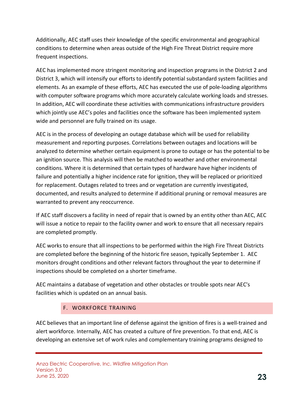Additionally, AEC staff uses their knowledge of the specific environmental and geographical conditions to determine when areas outside of the High Fire Threat District require more frequent inspections.

AEC has implemented more stringent monitoring and inspection programs in the District 2 and District 3, which will intensify our efforts to identify potential substandard system facilities and elements. As an example of these efforts, AEC has executed the use of pole-loading algorithms with computer software programs which more accurately calculate working loads and stresses. In addition, AEC will coordinate these activities with communications infrastructure providers which jointly use AEC's poles and facilities once the software has been implemented system wide and personnel are fully trained on its usage.

AEC is in the process of developing an outage database which will be used for reliability measurement and reporting purposes. Correlations between outages and locations will be analyzed to determine whether certain equipment is prone to outage or has the potential to be an ignition source. This analysis will then be matched to weather and other environmental conditions. Where it is determined that certain types of hardware have higher incidents of failure and potentially a higher incidence rate for ignition, they will be replaced or prioritized for replacement. Outages related to trees and or vegetation are currently investigated, documented, and results analyzed to determine if additional pruning or removal measures are warranted to prevent any reoccurrence.

If AEC staff discovers a facility in need of repair that is owned by an entity other than AEC, AEC will issue a notice to repair to the facility owner and work to ensure that all necessary repairs are completed promptly.

AEC works to ensure that all inspections to be performed within the High Fire Threat Districts are completed before the beginning of the historic fire season, typically September 1. AEC monitors drought conditions and other relevant factors throughout the year to determine if inspections should be completed on a shorter timeframe.

AEC maintains a database of vegetation and other obstacles or trouble spots near AEC's facilities which is updated on an annual basis.

## F. WORKFORCE TRAINING

<span id="page-22-0"></span>AEC believes that an important line of defense against the ignition of fires is a well-trained and alert workforce. Internally, AEC has created a culture of fire prevention. To that end, AEC is developing an extensive set of work rules and complementary training programs designed to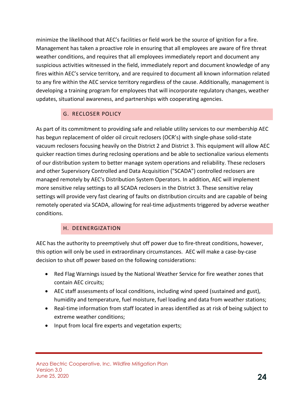minimize the likelihood that AEC's facilities or field work be the source of ignition for a fire. Management has taken a proactive role in ensuring that all employees are aware of fire threat weather conditions, and requires that all employees immediately report and document any suspicious activities witnessed in the field, immediately report and document knowledge of any fires within AEC's service territory, and are required to document all known information related to any fire within the AEC service territory regardless of the cause. Additionally, management is developing a training program for employees that will incorporate regulatory changes, weather updates, situational awareness, and partnerships with cooperating agencies.

## G. RECLOSER POLICY

<span id="page-23-0"></span>As part of its commitment to providing safe and reliable utility services to our membership AEC has begun replacement of older oil circuit reclosers (OCR's) with single-phase solid-state vacuum reclosers focusing heavily on the District 2 and District 3. This equipment will allow AEC quicker reaction times during reclosing operations and be able to sectionalize various elements of our distribution system to better manage system operations and reliability. These reclosers and other Supervisory Controlled and Data Acquisition ("SCADA") controlled reclosers are managed remotely by AEC's Distribution System Operators. In addition, AEC will implement more sensitive relay settings to all SCADA reclosers in the District 3. These sensitive relay settings will provide very fast clearing of faults on distribution circuits and are capable of being remotely operated via SCADA, allowing for real-time adjustments triggered by adverse weather conditions.

## H. DEENERGIZATION

<span id="page-23-1"></span>AEC has the authority to preemptively shut off power due to fire-threat conditions, however, this option will only be used in extraordinary circumstances. AEC will make a case-by-case decision to shut off power based on the following considerations:

- Red Flag Warnings issued by the National Weather Service for fire weather zones that contain AEC circuits;
- AEC staff assessments of local conditions, including wind speed (sustained and gust), humidity and temperature, fuel moisture, fuel loading and data from weather stations;
- Real-time information from staff located in areas identified as at risk of being subject to extreme weather conditions;
- Input from local fire experts and vegetation experts;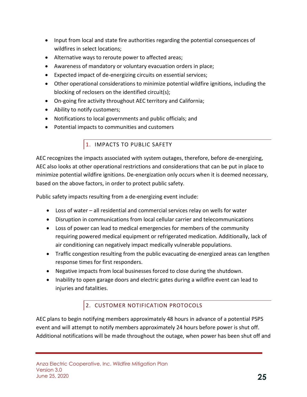- Input from local and state fire authorities regarding the potential consequences of wildfires in select locations;
- Alternative ways to reroute power to affected areas;
- Awareness of mandatory or voluntary evacuation orders in place;
- Expected impact of de-energizing circuits on essential services;
- Other operational considerations to minimize potential wildfire ignitions, including the blocking of reclosers on the identified circuit(s);
- On-going fire activity throughout AEC territory and California;
- Ability to notify customers;
- Notifications to local governments and public officials; and
- <span id="page-24-0"></span>• Potential impacts to communities and customers

## 1. IMPACTS TO PUBLIC SAFETY

AEC recognizes the impacts associated with system outages, therefore, before de-energizing, AEC also looks at other operational restrictions and considerations that can be put in place to minimize potential wildfire ignitions. De-energization only occurs when it is deemed necessary, based on the above factors, in order to protect public safety.

Public safety impacts resulting from a de-energizing event include:

- Loss of water all residential and commercial services relay on wells for water
- Disruption in communications from local cellular carrier and telecommunications
- Loss of power can lead to medical emergencies for members of the community requiring powered medical equipment or refrigerated medication. Additionally, lack of air conditioning can negatively impact medically vulnerable populations.
- Traffic congestion resulting from the public evacuating de-energized areas can lengthen response times for first responders.
- Negative impacts from local businesses forced to close during the shutdown.
- Inability to open garage doors and electric gates during a wildfire event can lead to injuries and fatalities.

## 2. CUSTOMER NOTIFICATION PROTOCOLS

<span id="page-24-1"></span>AEC plans to begin notifying members approximately 48 hours in advance of a potential PSPS event and will attempt to notify members approximately 24 hours before power is shut off. Additional notifications will be made throughout the outage, when power has been shut off and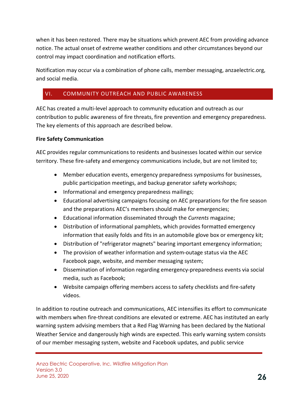when it has been restored. There may be situations which prevent AEC from providing advance notice. The actual onset of extreme weather conditions and other circumstances beyond our control may impact coordination and notification efforts.

Notification may occur via a combination of phone calls, member messaging, anzaelectric.org, and social media.

## <span id="page-25-0"></span>VI. COMMUNITY OUTREACH AND PUBLIC AWARENESS

AEC has created a multi-level approach to community education and outreach as our contribution to public awareness of fire threats, fire prevention and emergency preparedness. The key elements of this approach are described below.

### **Fire Safety Communication**

AEC provides regular communications to residents and businesses located within our service territory. These fire-safety and emergency communications include, but are not limited to;

- Member education events, emergency preparedness symposiums for businesses, public participation meetings, and backup generator safety workshops;
- Informational and emergency preparedness mailings;
- Educational advertising campaigns focusing on AEC preparations for the fire season and the preparations AEC's members should make for emergencies;
- Educational information disseminated through the *Currents* magazine;
- Distribution of informational pamphlets, which provides formatted emergency information that easily folds and fits in an automobile glove box or emergency kit;
- Distribution of "refrigerator magnets" bearing important emergency information;
- The provision of weather information and system-outage status via the AEC Facebook page, website, and member messaging system;
- Dissemination of information regarding emergency-preparedness events via social media, such as Facebook;
- Website campaign offering members access to safety checklists and fire-safety videos.

In addition to routine outreach and communications, AEC intensifies its effort to communicate with members when fire-threat conditions are elevated or extreme. AEC has instituted an early warning system advising members that a Red Flag Warning has been declared by the National Weather Service and dangerously high winds are expected. This early warning system consists of our member messaging system, website and Facebook updates, and public service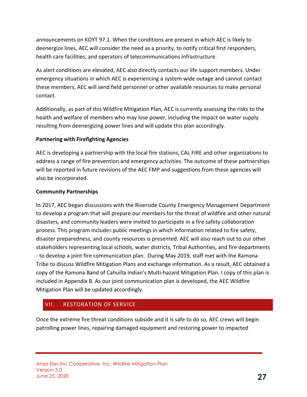announcements on KOYT 97.1. When the conditions are present in which AEC is likely to deenergize lines, AEC will consider the need as a priority, to notify critical first responders, health care facilities, and operators of telecommunications infrastructure.

As alert conditions are elevated, AEC also directly contacts our life support members. Under emergency situations in which AEC is experiencing a system wide outage and cannot contact these members, AEC will send field personnel or other available resources to make personal contact.

Additionally, as part of this Wildfire Mitigation Plan, AEC is currently assessing the risks to the health and welfare of members who may lose power, including the impact on water supply resulting from deenergizing power lines and will update this plan accordingly.

### **Partnering with Firefighting Agencies**

AEC is developing a partnership with the local fire stations, CAL FIRE and other organizations to address a range of fire prevention and emergency activities. The outcome of these partnerships will be reported in future revisions of the AEC FMP and suggestions from these agencies will also be incorporated.

### **Community Partnerships**

In 2017, AEC began discussions with the Riverside County Emergency Management Department to develop a program that will prepare our members for the threat of wildfire and other natural disasters, and community leaders were invited to participate in a fire safety collaboration process. This program includes public meetings in which information related to fire safety, disaster preparedness, and county resources is presented. AEC will also reach out to our other stakeholders representing local schools, water districts, Tribal Authorities, and fire departments - to develop a joint fire communication plan. During May 2019, staff met with the Ramona Tribe to discuss Wildfire Mitigation Plans and exchange information. As a result, AEC obtained a copy of the Ramona Band of Cahuilla Indian's Multi-hazard Mitigation Plan. I copy of this plan is included in Appendix B. As our joint communication plan is developed, the AEC Wildfire Mitigation Plan will be updated accordingly.

## <span id="page-26-0"></span>VII. RESTORATION OF SERVICE

Once the extreme fire threat conditions subside and it is safe to do so, AEC crews will begin patrolling power lines, repairing damaged equipment and restoring power to impacted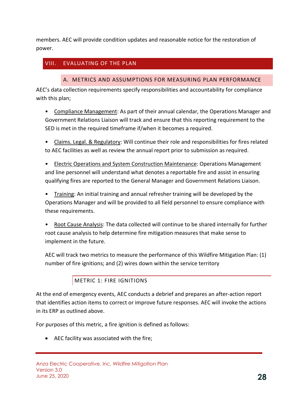members. AEC will provide condition updates and reasonable notice for the restoration of power.

## <span id="page-27-1"></span><span id="page-27-0"></span>VIII. EVALUATING OF THE PLAN

#### A. METRICS AND ASSUMPTIONS FOR MEASURING PLAN PERFORMANCE

AEC's data collection requirements specify responsibilities and accountability for compliance with this plan;

• Compliance Management: As part of their annual calendar, the Operations Manager and Government Relations Liaison will track and ensure that this reporting requirement to the SED is met in the required timeframe if/when it becomes a required.

• Claims. Legal. & Regulatory: Will continue their role and responsibilities for fires related to AEC facilities as well as review the annual report prior to submission as required.

• Electric Operations and System Construction Maintenance: Operations Management and line personnel will understand what denotes a reportable fire and assist in ensuring qualifying fires are reported to the General Manager and Government Relations Liaison.

• Training: An initial training and annual refresher training will be developed by the Operations Manager and will be provided to all field personnel to ensure compliance with these requirements.

• Root Cause Analysis: The data collected will continue to be shared internally for further root cause analysis to help determine fire mitigation measures that make sense to implement in the future.

AEC will track two metrics to measure the performance of this Wildfire Mitigation Plan: (1) number of fire ignitions; and (2) wires down within the service territory

## METRIC 1: FIRE IGNITIONS

<span id="page-27-2"></span>At the end of emergency events, AEC conducts a debrief and prepares an after-action report that identifies action items to correct or improve future responses. AEC will invoke the actions in its ERP as outlined above.

For purposes of this metric, a fire ignition is defined as follows:

• AEC facility was associated with the fire;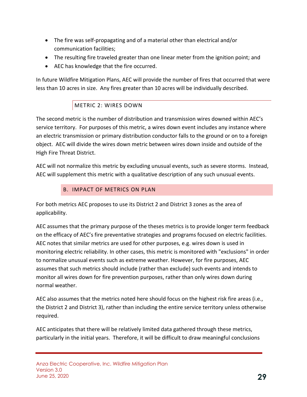- The fire was self-propagating and of a material other than electrical and/or communication facilities;
- The resulting fire traveled greater than one linear meter from the ignition point; and
- AEC has knowledge that the fire occurred.

In future Wildfire Mitigation Plans, AEC will provide the number of fires that occurred that were less than 10 acres in size. Any fires greater than 10 acres will be individually described.

## METRIC 2: WIRES DOWN

<span id="page-28-0"></span>The second metric is the number of distribution and transmission wires downed within AEC's service territory. For purposes of this metric, a wires down event includes any instance where an electric transmission or primary distribution conductor falls to the ground or on to a foreign object. AEC will divide the wires down metric between wires down inside and outside of the High Fire Threat District.

AEC will not normalize this metric by excluding unusual events, such as severe storms. Instead, AEC will supplement this metric with a qualitative description of any such unusual events.

## B. IMPACT OF METRICS ON PLAN

<span id="page-28-1"></span>For both metrics AEC proposes to use its District 2 and District 3 zones as the area of applicability.

AEC assumes that the primary purpose of the theses metrics is to provide longer term feedback on the efficacy of AEC's fire preventative strategies and programs focused on electric facilities. AEC notes that similar metrics are used for other purposes, e.g. wires down is used in monitoring electric reliability. In other cases, this metric is monitored with "exclusions" in order to normalize unusual events such as extreme weather. However, for fire purposes, AEC assumes that such metrics should include (rather than exclude) such events and intends to monitor all wires down for fire prevention purposes, rather than only wires down during normal weather.

AEC also assumes that the metrics noted here should focus on the highest risk fire areas (i.e., the District 2 and District 3), rather than including the entire service territory unless otherwise required.

AEC anticipates that there will be relatively limited data gathered through these metrics, particularly in the initial years. Therefore, it will be difficult to draw meaningful conclusions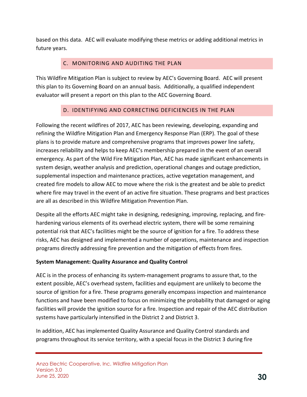based on this data. AEC will evaluate modifying these metrics or adding additional metrics in future years.

## C. MONITORING AND AUDITING THE PLAN

<span id="page-29-0"></span>This Wildfire Mitigation Plan is subject to review by AEC's Governing Board. AEC will present this plan to its Governing Board on an annual basis. Additionally, a qualified independent evaluator will present a report on this plan to the AEC Governing Board.

## D. IDENTIFYING AND CORRECTING DEFICIENCIES IN THE PLAN

<span id="page-29-1"></span>Following the recent wildfires of 2017, AEC has been reviewing, developing, expanding and refining the Wildfire Mitigation Plan and Emergency Response Plan (ERP). The goal of these plans is to provide mature and comprehensive programs that improves power line safety, increases reliability and helps to keep AEC's membership prepared in the event of an overall emergency. As part of the Wild Fire Mitigation Plan, AEC has made significant enhancements in system design, weather analysis and prediction, operational changes and outage prediction, supplemental inspection and maintenance practices, active vegetation management, and created fire models to allow AEC to move where the risk is the greatest and be able to predict where fire may travel in the event of an active fire situation. These programs and best practices are all as described in this Wildfire Mitigation Prevention Plan.

Despite all the efforts AEC might take in designing, redesigning, improving, replacing, and firehardening various elements of its overhead electric system, there will be some remaining potential risk that AEC's facilities might be the source of ignition for a fire. To address these risks, AEC has designed and implemented a number of operations, maintenance and inspection programs directly addressing fire prevention and the mitigation of effects from fires.

### **System Management: Quality Assurance and Quality Control**

AEC is in the process of enhancing its system-management programs to assure that, to the extent possible, AEC's overhead system, facilities and equipment are unlikely to become the source of ignition for a fire. These programs generally encompass inspection and maintenance functions and have been modified to focus on minimizing the probability that damaged or aging facilities will provide the ignition source for a fire. Inspection and repair of the AEC distribution systems have particularly intensified in the District 2 and District 3.

In addition, AEC has implemented Quality Assurance and Quality Control standards and programs throughout its service territory, with a special focus in the District 3 during fire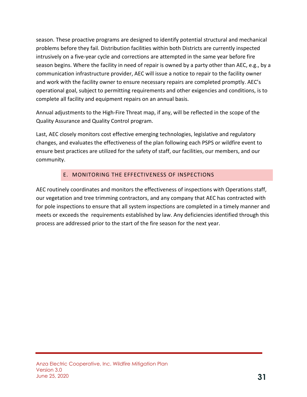season. These proactive programs are designed to identify potential structural and mechanical problems before they fail. Distribution facilities within both Districts are currently inspected intrusively on a five-year cycle and corrections are attempted in the same year before fire season begins. Where the facility in need of repair is owned by a party other than AEC, e.g., by a communication infrastructure provider, AEC will issue a notice to repair to the facility owner and work with the facility owner to ensure necessary repairs are completed promptly. AEC's operational goal, subject to permitting requirements and other exigencies and conditions, is to complete all facility and equipment repairs on an annual basis.

Annual adjustments to the High-Fire Threat map, if any, will be reflected in the scope of the Quality Assurance and Quality Control program.

Last, AEC closely monitors cost effective emerging technologies, legislative and regulatory changes, and evaluates the effectiveness of the plan following each PSPS or wildfire event to ensure best practices are utilized for the safety of staff, our facilities, our members, and our community.

## E. MONITORING THE EFFECTIVENESS OF INSPECTIONS

<span id="page-30-0"></span>AEC routinely coordinates and monitors the effectiveness of inspections with Operations staff, our vegetation and tree trimming contractors, and any company that AEC has contracted with for pole inspections to ensure that all system inspections are completed in a timely manner and meets or exceeds the requirements established by law. Any deficiencies identified through this process are addressed prior to the start of the fire season for the next year.